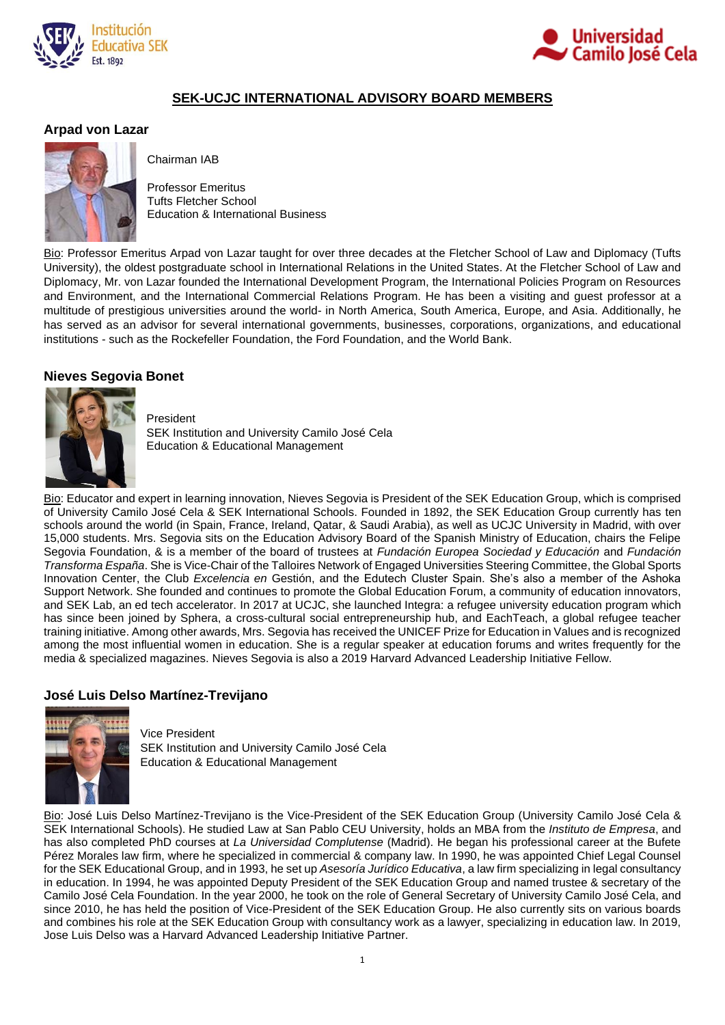



# **SEK-UCJC INTERNATIONAL ADVISORY BOARD MEMBERS**

### **Arpad von Lazar**



Chairman IAB

Professor Emeritus Tufts Fletcher School Education & International Business

Bio: Professor Emeritus Arpad von Lazar taught for over three decades at the Fletcher School of Law and Diplomacy (Tufts University), the oldest postgraduate school in International Relations in the United States. At the Fletcher School of Law and Diplomacy, Mr. von Lazar founded the International Development Program, the International Policies Program on Resources and Environment, and the International Commercial Relations Program. He has been a visiting and guest professor at a multitude of prestigious universities around the world- in North America, South America, Europe, and Asia. Additionally, he has served as an advisor for several international governments, businesses, corporations, organizations, and educational institutions - such as the Rockefeller Foundation, the Ford Foundation, and the World Bank.

## **Nieves Segovia Bonet**



President SEK Institution and University Camilo José Cela Education & Educational Management

Bio: Educator and expert in learning innovation, Nieves Segovia is President of the SEK Education Group, which is comprised of University Camilo José Cela & SEK International Schools. Founded in 1892, the SEK Education Group currently has ten schools around the world (in Spain, France, Ireland, Qatar, & Saudi Arabia), as well as UCJC University in Madrid, with over 15,000 students. Mrs. Segovia sits on the Education Advisory Board of the Spanish Ministry of Education, chairs the Felipe Segovia Foundation, & is a member of the board of trustees at *Fundación Europea Sociedad y Educación* and *Fundación Transforma España*. She is Vice-Chair of the Talloires Network of Engaged Universities Steering Committee, the Global Sports Innovation Center, the Club *Excelencia en* Gestión, and the Edutech Cluster Spain. She's also a member of the Ashoka Support Network. She founded and continues to promote the Global Education Forum, a community of education innovators, and SEK Lab, an ed tech accelerator. In 2017 at UCJC, she launched Integra: a refugee university education program which has since been joined by Sphera, a cross-cultural social entrepreneurship hub, and EachTeach, a global refugee teacher training initiative. Among other awards, Mrs. Segovia has received the UNICEF Prize for Education in Values and is recognized among the most influential women in education. She is a regular speaker at education forums and writes frequently for the media & specialized magazines. Nieves Segovia is also a 2019 Harvard Advanced Leadership Initiative Fellow.

# **José Luis Delso Martínez-Trevijano**



Vice President SEK Institution and University Camilo José Cela Education & Educational Management

Bio: José Luis Delso Martínez-Trevijano is the Vice-President of the SEK Education Group (University Camilo José Cela & SEK International Schools). He studied Law at San Pablo CEU University, holds an MBA from the *Instituto de Empresa*, and has also completed PhD courses at *La Universidad Complutense* (Madrid). He began his professional career at the Bufete Pérez Morales law firm, where he specialized in commercial & company law. In 1990, he was appointed Chief Legal Counsel for the SEK Educational Group, and in 1993, he set up *Asesoría Jurídico Educativa*, a law firm specializing in legal consultancy in education. In 1994, he was appointed Deputy President of the SEK Education Group and named trustee & secretary of the Camilo José Cela Foundation. In the year 2000, he took on the role of General Secretary of University Camilo José Cela, and since 2010, he has held the position of Vice-President of the SEK Education Group. He also currently sits on various boards and combines his role at the SEK Education Group with consultancy work as a lawyer, specializing in education law. In 2019, Jose Luis Delso was a Harvard Advanced Leadership Initiative Partner.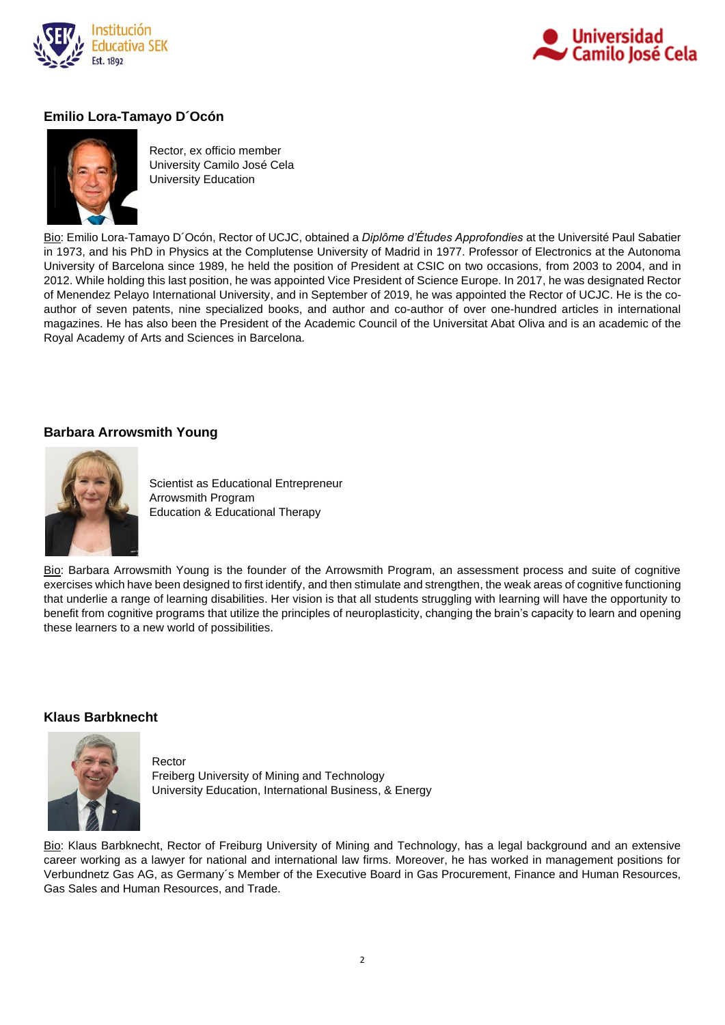



# **Emilio Lora-Tamayo D´Ocón**



Rector, ex officio member University Camilo José Cela University Education

Bio: Emilio Lora-Tamayo D´Ocón, Rector of UCJC, obtained a *Diplôme d'Études Approfondies* at the Université Paul Sabatier in 1973, and his PhD in Physics at the Complutense University of Madrid in 1977. Professor of Electronics at the Autonoma University of Barcelona since 1989, he held the position of President at CSIC on two occasions, from 2003 to 2004, and in 2012. While holding this last position, he was appointed Vice President of Science Europe. In 2017, he was designated Rector of Menendez Pelayo International University, and in September of 2019, he was appointed the Rector of UCJC. He is the coauthor of seven patents, nine specialized books, and author and co-author of over one-hundred articles in international magazines. He has also been the President of the Academic Council of the Universitat Abat Oliva and is an academic of the Royal Academy of Arts and Sciences in Barcelona.

# **Barbara Arrowsmith Young**



Scientist as Educational Entrepreneur Arrowsmith Program Education & Educational Therapy

Bio: Barbara Arrowsmith Young is the founder of the Arrowsmith Program, an assessment process and suite of cognitive exercises which have been designed to first identify, and then stimulate and strengthen, the weak areas of cognitive functioning that underlie a range of learning disabilities. Her vision is that all students struggling with learning will have the opportunity to benefit from cognitive programs that utilize the principles of neuroplasticity, changing the brain's capacity to learn and opening these learners to a new world of possibilities.

#### **Klaus Barbknecht**



Rector Freiberg University of Mining and Technology University Education, International Business, & Energy

Bio: Klaus Barbknecht, Rector of Freiburg University of Mining and Technology, has a legal background and an extensive career working as a lawyer for national and international law firms. Moreover, he has worked in management positions for Verbundnetz Gas AG, as Germany´s Member of the Executive Board in Gas Procurement, Finance and Human Resources, Gas Sales and Human Resources, and Trade.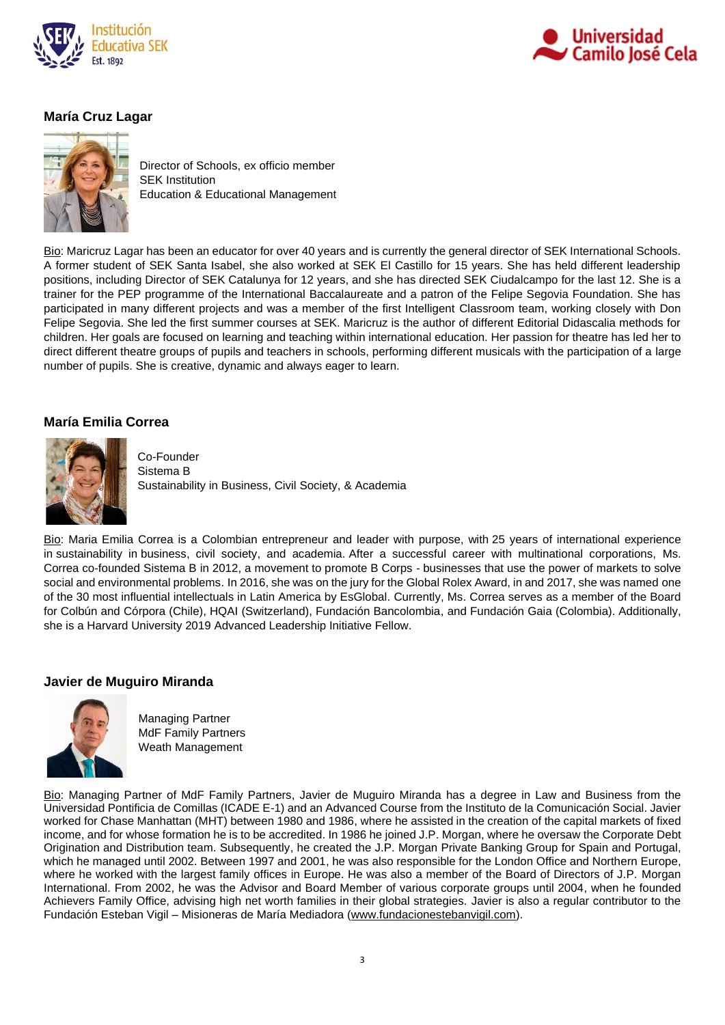



# **María Cruz Lagar**



Director of Schools, ex officio member SEK Institution Education & Educational Management

Bio: Maricruz Lagar has been an educator for over 40 years and is currently the general director of SEK International Schools. A former student of SEK Santa Isabel, she also worked at SEK El Castillo for 15 years. She has held different leadership positions, including Director of SEK Catalunya for 12 years, and she has directed SEK Ciudalcampo for the last 12. She is a trainer for the PEP programme of the International Baccalaureate and a patron of the Felipe Segovia Foundation. She has participated in many different projects and was a member of the first Intelligent Classroom team, working closely with Don Felipe Segovia. She led the first summer courses at SEK. Maricruz is the author of different Editorial Didascalia methods for children. Her goals are focused on learning and teaching within international education. Her passion for theatre has led her to direct different theatre groups of pupils and teachers in schools, performing different musicals with the participation of a large number of pupils. She is creative, dynamic and always eager to learn.

# **María Emilia Correa**



Co-Founder Sistema B Sustainability in Business, Civil Society, & Academia

Bio: Maria Emilia Correa is a Colombian entrepreneur and leader with purpose, with 25 years of international experience in sustainability in business, civil society, and academia. After a successful career with multinational corporations, Ms. Correa co-founded Sistema B in 2012, a movement to promote B Corps - businesses that use the power of markets to solve social and environmental problems. In 2016, she was on the jury for the Global Rolex Award, in and 2017, she was named one of the 30 most influential intellectuals in Latin America by EsGlobal. Currently, Ms. Correa serves as a member of the Board for Colbún and Córpora (Chile), HQAI (Switzerland), Fundación Bancolombia, and Fundación Gaia (Colombia). Additionally, she is a Harvard University 2019 Advanced Leadership Initiative Fellow.

#### **Javier de Muguiro Miranda**



Managing Partner MdF Family Partners Weath Management

Bio: Managing Partner of MdF Family Partners, Javier de Muguiro Miranda has a degree in Law and Business from the Universidad Pontificia de Comillas (ICADE E-1) and an Advanced Course from the Instituto de la Comunicación Social. Javier worked for Chase Manhattan (MHT) between 1980 and 1986, where he assisted in the creation of the capital markets of fixed income, and for whose formation he is to be accredited. In 1986 he joined J.P. Morgan, where he oversaw the Corporate Debt Origination and Distribution team. Subsequently, he created the J.P. Morgan Private Banking Group for Spain and Portugal, which he managed until 2002. Between 1997 and 2001, he was also responsible for the London Office and Northern Europe, where he worked with the largest family offices in Europe. He was also a member of the Board of Directors of J.P. Morgan International. From 2002, he was the Advisor and Board Member of various corporate groups until 2004, when he founded Achievers Family Office, advising high net worth families in their global strategies. Javier is also a regular contributor to the Fundación Esteban Vigil – Misioneras de María Mediadora [\(www.fundacionestebanvigil.com\)](http://mmediadora.es/presencia-misionera/espana/fundacion-esteban-g-vigil/).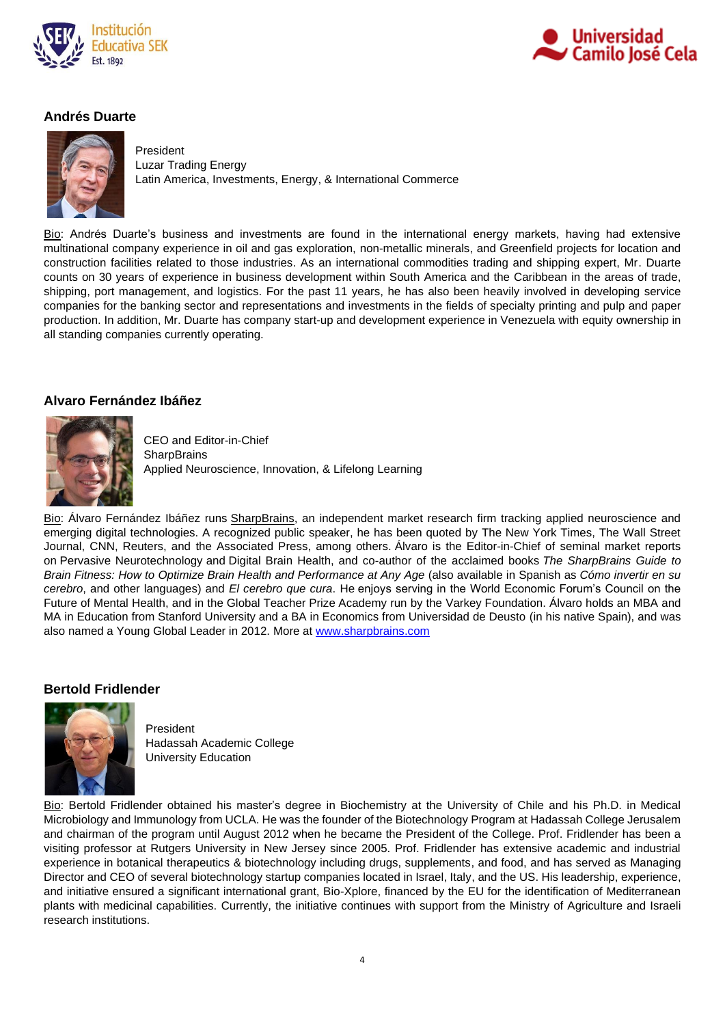



# **Andrés Duarte**



President Luzar Trading Energy Latin America, Investments, Energy, & International Commerce

Bio: Andrés Duarte's business and investments are found in the international energy markets, having had extensive multinational company experience in oil and gas exploration, non-metallic minerals, and Greenfield projects for location and construction facilities related to those industries. As an international commodities trading and shipping expert, Mr. Duarte counts on 30 years of experience in business development within South America and the Caribbean in the areas of trade, shipping, port management, and logistics. For the past 11 years, he has also been heavily involved in developing service companies for the banking sector and representations and investments in the fields of specialty printing and pulp and paper production. In addition, Mr. Duarte has company start-up and development experience in Venezuela with equity ownership in all standing companies currently operating.

## **Alvaro Fernández Ibáñez**



CEO and Editor-in-Chief **SharpBrains** Applied Neuroscience, Innovation, & Lifelong Learning

Bio: Álvaro Fernández Ibáñez runs [SharpBrains,](https://sharpbrains.com/) an independent market research firm tracking applied neuroscience and emerging digital technologies. A recognized public speaker, he has been quoted by The New York Times, The Wall Street Journal, CNN, Reuters, and the Associated Press, among others. Álvaro is the Editor-in-Chief of seminal market reports on Pervasive Neurotechnology and Digital Brain Health, and co-author of the acclaimed books *The SharpBrains Guide to Brain Fitness: How to Optimize Brain Health and Performance at Any Age* (also available in Spanish as *Cómo invertir en su cerebro*, and other languages) and *El cerebro que cura*. He enjoys serving in the World Economic Forum's Council on the Future of Mental Health, and in the Global Teacher Prize Academy run by the Varkey Foundation. Álvaro holds an MBA and MA in Education from Stanford University and a BA in Economics from Universidad de Deusto (in his native Spain), and was also named a Young Global Leader in 2012. More at [www.sharpbrains.com](http://www.sharpbrains.com/)

#### **Bertold Fridlender**



President Hadassah Academic College University Education

Bio: Bertold Fridlender obtained his master's degree in Biochemistry at the University of Chile and his Ph.D. in Medical Microbiology and Immunology from UCLA. He was the founder of the Biotechnology Program at Hadassah College Jerusalem and chairman of the program until August 2012 when he became the President of the College. Prof. Fridlender has been a visiting professor at Rutgers University in New Jersey since 2005. Prof. Fridlender has extensive academic and industrial experience in botanical therapeutics & biotechnology including drugs, supplements, and food, and has served as Managing Director and CEO of several biotechnology startup companies located in Israel, Italy, and the US. His leadership, experience, and initiative ensured a significant international grant, Bio-Xplore, financed by the EU for the identification of Mediterranean plants with medicinal capabilities. Currently, the initiative continues with support from the Ministry of Agriculture and Israeli research institutions.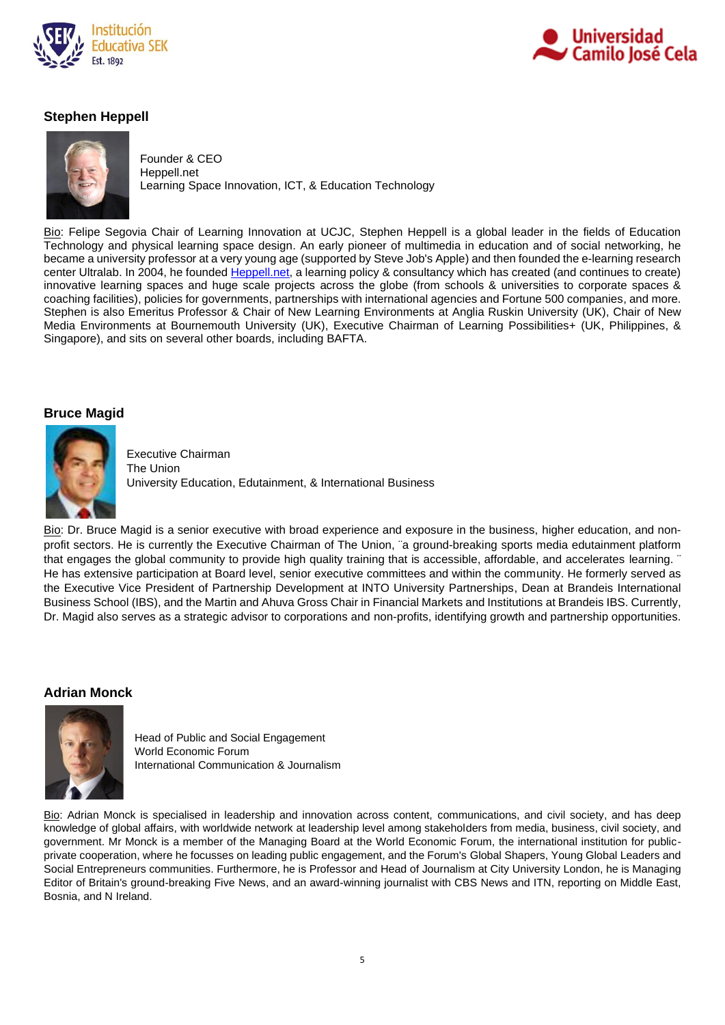



# **Stephen Heppell**



Founder & CEO Heppell.net Learning Space Innovation, ICT, & Education Technology

Bio: Felipe Segovia Chair of Learning Innovation at UCJC, Stephen Heppell is a global leader in the fields of Education Technology and physical learning space design. An early pioneer of multimedia in education and of social networking, he became a university professor at a very young age (supported by Steve Job's Apple) and then founded the e-learning research center Ultralab. In 2004, he founded [Heppell.net,](http://www.heppell.net/) a learning policy & consultancy which has created (and continues to create) innovative learning spaces and huge scale projects across the globe (from schools & universities to corporate spaces & coaching facilities), policies for governments, partnerships with international agencies and Fortune 500 companies, and more. Stephen is also Emeritus Professor & Chair of New Learning Environments at Anglia Ruskin University (UK), Chair of New Media Environments at Bournemouth University (UK), Executive Chairman of Learning Possibilities+ (UK, Philippines, & Singapore), and sits on several other boards, including BAFTA.

## **Bruce Magid**



Executive Chairman The Union University Education, Edutainment, & International Business

Bio: Dr. Bruce Magid is a senior executive with broad experience and exposure in the business, higher education, and nonprofit sectors. He is currently the Executive Chairman of The Union, ¨a ground-breaking sports media edutainment platform that engages the global community to provide high quality training that is accessible, affordable, and accelerates learning. ¨ He has extensive participation at Board level, senior executive committees and within the community. He formerly served as the Executive Vice President of Partnership Development at INTO University Partnerships, Dean at Brandeis International Business School (IBS), and the Martin and Ahuva Gross Chair in Financial Markets and Institutions at Brandeis IBS. Currently, Dr. Magid also serves as a strategic advisor to corporations and non-profits, identifying growth and partnership opportunities.

# **Adrian Monck**



Head of Public and Social Engagement World Economic Forum International Communication & Journalism

Bio: Adrian Monck is specialised in leadership and innovation across content, communications, and civil society, and has deep knowledge of global affairs, with worldwide network at leadership level among stakeholders from media, business, civil society, and government. Mr Monck is a member of the Managing Board at the World Economic Forum, the international institution for publicprivate cooperation, where he focusses on leading public engagement, and the Forum's Global Shapers, Young Global Leaders and Social Entrepreneurs communities. Furthermore, he is Professor and Head of Journalism at City University London, he is Managing Editor of Britain's ground-breaking Five News, and an award-winning journalist with CBS News and ITN, reporting on Middle East, Bosnia, and N Ireland.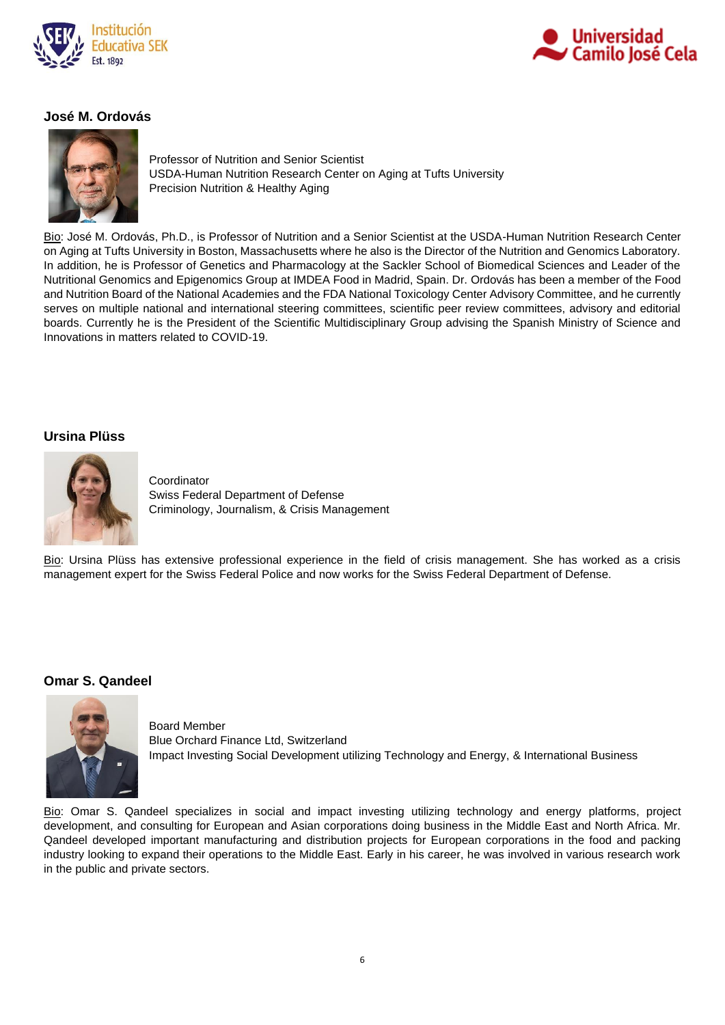



# **José M. Ordovás**



Professor of Nutrition and Senior Scientist USDA-Human Nutrition Research Center on Aging at Tufts University Precision Nutrition & Healthy Aging

Bio: José M. Ordovás, Ph.D., is Professor of Nutrition and a Senior Scientist at the USDA-Human Nutrition Research Center on Aging at Tufts University in Boston, Massachusetts where he also is the Director of the Nutrition and Genomics Laboratory. In addition, he is Professor of Genetics and Pharmacology at the Sackler School of Biomedical Sciences and Leader of the Nutritional Genomics and Epigenomics Group at IMDEA Food in Madrid, Spain. Dr. Ordovás has been a member of the Food and Nutrition Board of the National Academies and the FDA National Toxicology Center Advisory Committee, and he currently serves on multiple national and international steering committees, scientific peer review committees, advisory and editorial boards. Currently he is the President of the Scientific Multidisciplinary Group advising the Spanish Ministry of Science and Innovations in matters related to COVID-19.

## **Ursina Plüss**



Coordinator Swiss Federal Department of Defense Criminology, Journalism, & Crisis Management

Bio: Ursina Plüss has extensive professional experience in the field of crisis management. She has worked as a crisis management expert for the Swiss Federal Police and now works for the Swiss Federal Department of Defense.

#### **Omar S. Qandeel**



Board Member Blue Orchard Finance Ltd, Switzerland Impact Investing Social Development utilizing Technology and Energy, & International Business

Bio: Omar S. Qandeel specializes in social and impact investing utilizing technology and energy platforms, project development, and consulting for European and Asian corporations doing business in the Middle East and North Africa. Mr. Qandeel developed important manufacturing and distribution projects for European corporations in the food and packing industry looking to expand their operations to the Middle East. Early in his career, he was involved in various research work in the public and private sectors.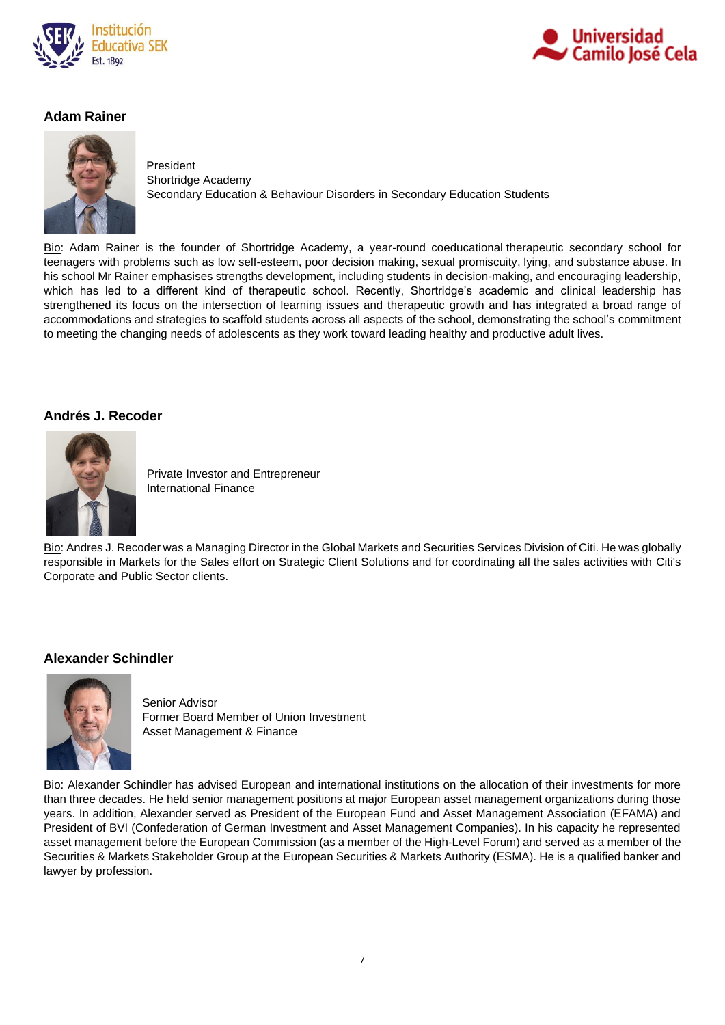



# **Adam Rainer**



President

Shortridge Academy Secondary Education & Behaviour Disorders in Secondary Education Students

Bio: Adam Rainer is the founder of Shortridge Academy, a year-round [coeducational](https://en.wikipedia.org/wiki/Coeducational) therapeutic secondary school for teenagers with problems such as low [self-esteem,](https://en.wikipedia.org/wiki/Self-esteem) poor decision making, [sexual promiscuity,](https://en.wikipedia.org/wiki/Sexual_promiscuity) [lying,](https://en.wikipedia.org/wiki/Lie) and [substance abuse.](https://en.wikipedia.org/wiki/Substance_abuse) In his school Mr Rainer emphasises strengths development, including students in decision-making, and encouraging leadership, which has led to a different kind of therapeutic school. Recently, Shortridge's academic and clinical leadership has strengthened its focus on the intersection of learning issues and therapeutic growth and has integrated a broad range of accommodations and strategies to scaffold students across all aspects of the school, demonstrating the school's commitment to meeting the changing needs of adolescents as they work toward leading healthy and productive adult lives.

## **Andrés J. Recoder**



Private Investor and Entrepreneur International Finance

Bio: Andres J. Recoder was a Managing Director in the Global Markets and Securities Services Division of Citi. He was globally responsible in Markets for the Sales effort on Strategic Client Solutions and for coordinating all the sales activities with Citi's Corporate and Public Sector clients.

# **Alexander Schindler**



Senior Advisor Former Board Member of Union Investment Asset Management & Finance

Bio: Alexander Schindler has advised European and international institutions on the allocation of their investments for more than three decades. He held senior management positions at major European asset management organizations during those years. In addition, Alexander served as President of the European Fund and Asset Management Association (EFAMA) and President of BVI (Confederation of German Investment and Asset Management Companies). In his capacity he represented asset management before the European Commission (as a member of the High-Level Forum) and served as a member of the Securities & Markets Stakeholder Group at the European Securities & Markets Authority (ESMA). He is a qualified banker and lawyer by profession.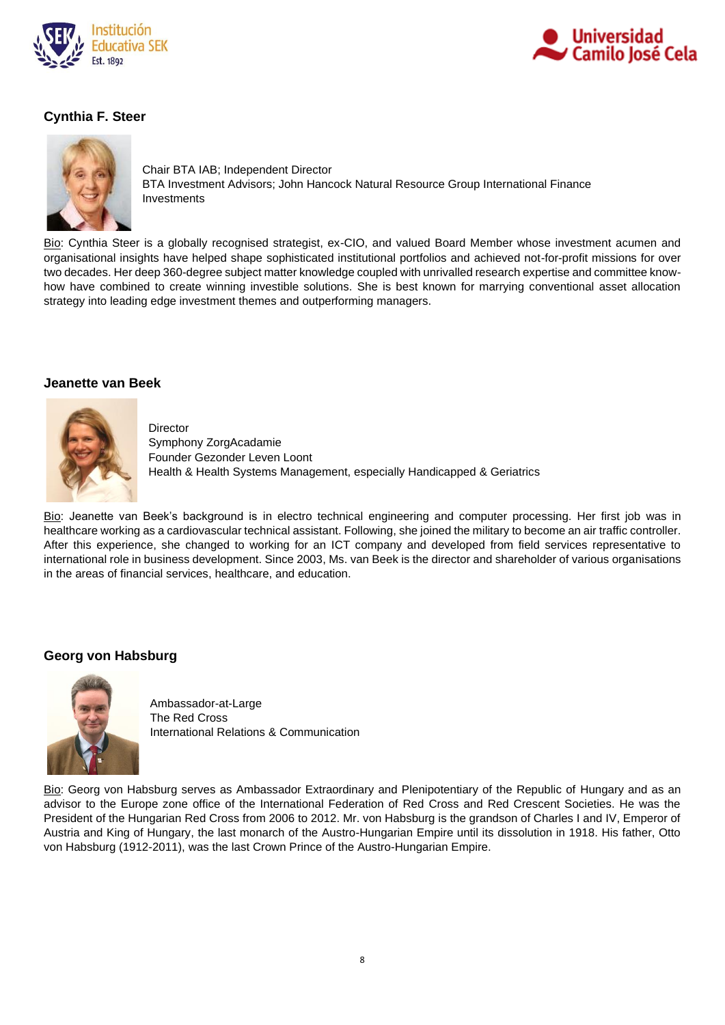



# **Cynthia F. Steer**



Chair BTA IAB; Independent Director BTA Investment Advisors; John Hancock Natural Resource Group International Finance Investments

Bio: Cynthia Steer is a globally recognised strategist, ex-CIO, and valued Board Member whose investment acumen and organisational insights have helped shape sophisticated institutional portfolios and achieved not-for-profit missions for over two decades. Her deep 360-degree subject matter knowledge coupled with unrivalled research expertise and committee knowhow have combined to create winning investible solutions. She is best known for marrying conventional asset allocation strategy into leading edge investment themes and outperforming managers.

### **Jeanette van Beek**

**Director** 



Symphony ZorgAcadamie Founder Gezonder Leven Loont Health & Health Systems Management, especially Handicapped & Geriatrics

Bio: Jeanette van Beek's background is in electro technical engineering and computer processing. Her first job was in healthcare working as a cardiovascular technical assistant. Following, she joined the military to become an air traffic controller. After this experience, she changed to working for an ICT company and developed from field services representative to international role in business development. Since 2003, Ms. van Beek is the director and shareholder of various organisations in the areas of financial services, healthcare, and education.

# **Georg von Habsburg**



Ambassador-at-Large The Red Cross International Relations & Communication

Bio: Georg von Habsburg serves as Ambassador Extraordinary and Plenipotentiary of the Republic of Hungary and as an advisor to the Europe zone office of the International Federation of Red Cross and Red Crescent Societies. He was the President of the Hungarian Red Cross from 2006 to 2012. Mr. von Habsburg is the grandson of Charles I and IV, Emperor of Austria and King of Hungary, the last monarch of the Austro-Hungarian Empire until its dissolution in 1918. His father, Otto von Habsburg (1912-2011), was the last Crown Prince of the Austro-Hungarian Empire.